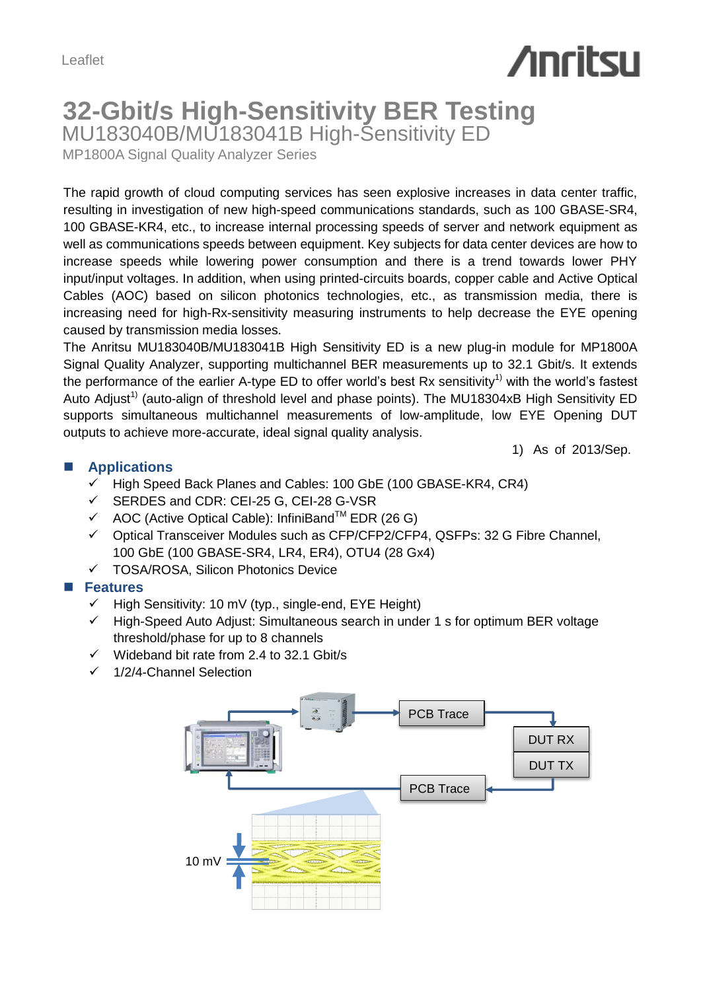# **Anritsu**

## **32-Gbit/s High-Sensitivity BER Testing** MU183040B/MU183041B High-Sensitivity ED

MP1800A Signal Quality Analyzer Series

The rapid growth of cloud computing services has seen explosive increases in data center traffic, resulting in investigation of new high-speed communications standards, such as 100 GBASE-SR4, 100 GBASE-KR4, etc., to increase internal processing speeds of server and network equipment as well as communications speeds between equipment. Key subjects for data center devices are how to increase speeds while lowering power consumption and there is a trend towards lower PHY input/input voltages. In addition, when using printed-circuits boards, copper cable and Active Optical Cables (AOC) based on silicon photonics technologies, etc., as transmission media, there is increasing need for high-Rx-sensitivity measuring instruments to help decrease the EYE opening caused by transmission media losses.

The Anritsu MU183040B/MU183041B High Sensitivity ED is a new plug-in module for MP1800A Signal Quality Analyzer, supporting multichannel BER measurements up to 32.1 Gbit/s. It extends the performance of the earlier A-type ED to offer world's best Rx sensitivity<sup>1)</sup> with the world's fastest Auto Adjust<sup>1)</sup> (auto-align of threshold level and phase points). The MU18304xB High Sensitivity ED supports simultaneous multichannel measurements of low-amplitude, low EYE Opening DUT outputs to achieve more-accurate, ideal signal quality analysis.

1) As of 2013/Sep.

#### **Applications**

- High Speed Back Planes and Cables: 100 GbE (100 GBASE-KR4, CR4)
- SERDES and CDR: CEI-25 G, CEI-28 G-VSR
- $\checkmark$  AOC (Active Optical Cable): InfiniBand<sup>TM</sup> EDR (26 G)
- Optical Transceiver Modules such as CFP/CFP2/CFP4, QSFPs: 32 G Fibre Channel, 100 GbE (100 GBASE-SR4, LR4, ER4), OTU4 (28 Gx4)
- TOSA/ROSA, Silicon Photonics Device

#### **Features**

- $\checkmark$  High Sensitivity: 10 mV (typ., single-end, EYE Height)
- High-Speed Auto Adjust: Simultaneous search in under 1 s for optimum BER voltage threshold/phase for up to 8 channels
- $\checkmark$  Wideband bit rate from 2.4 to 32.1 Gbit/s
- $\checkmark$  1/2/4-Channel Selection